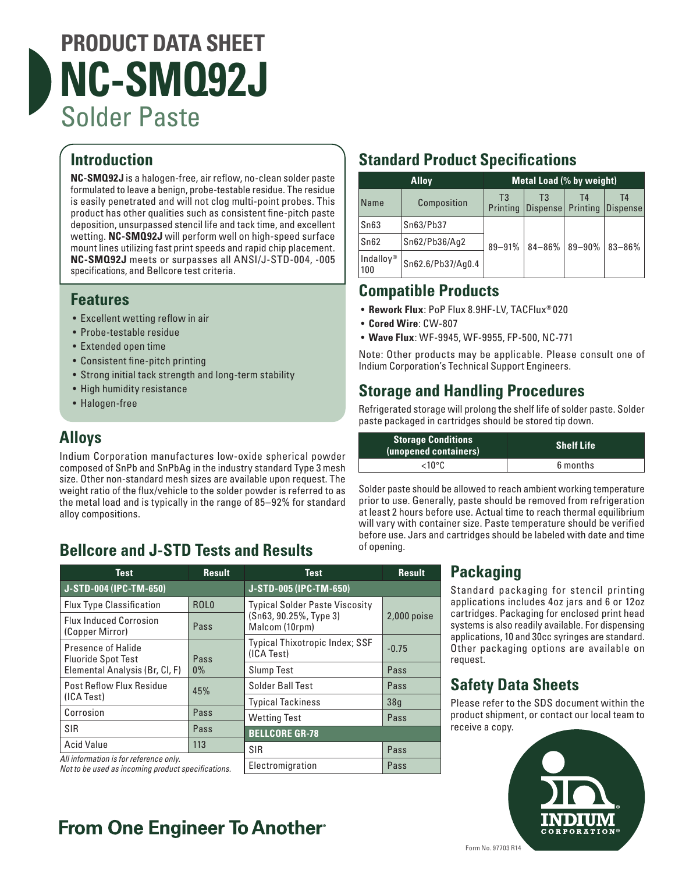# **PRODUCT DATA SHEET NC-SMQ92J** Solder Paste

# **Introduction**

**NC-SMQ92J** is a halogen-free, air reflow, no-clean solder paste formulated to leave a benign, probe-testable residue. The residue is easily penetrated and will not clog multi-point probes. This product has other qualities such as consistent fine-pitch paste deposition, unsurpassed stencil life and tack time, and excellent wetting. **NC-SMQ92J** will perform well on high-speed surface mount lines utilizing fast print speeds and rapid chip placement. **NC-SMQ92J** meets or surpasses all ANSI/J-STD-004, -005 specifications, and Bellcore test criteria.

#### **Features**

- Excellent wetting reflow in air
- Probe-testable residue
- Extended open time
- Consistent fine-pitch printing
- Strong initial tack strength and long-term stability
- High humidity resistance
- Halogen-free

### **Alloys**

Indium Corporation manufactures low-oxide spherical powder composed of SnPb and SnPbAg in the industry standard Type 3 mesh size. Other non-standard mesh sizes are available upon request. The weight ratio of the flux/vehicle to the solder powder is referred to as the metal load and is typically in the range of 85–92% for standard alloy compositions.

## **Bellcore and J-STD Tests and Results**

| <b>Test</b>                                                                                  | <b>Result</b>    | <b>Test</b>                                  | <b>Result</b> |
|----------------------------------------------------------------------------------------------|------------------|----------------------------------------------|---------------|
| J-STD-004 (IPC-TM-650)                                                                       |                  | J-STD-005 (IPC-TM-650)                       |               |
| <b>Flux Type Classification</b>                                                              | ROL <sub>0</sub> | <b>Typical Solder Paste Viscosity</b>        | $2,000$ poise |
| <b>Flux Induced Corrosion</b><br>(Copper Mirror)                                             | Pass             | (Sn63, 90.25%, Type 3)<br>Malcom (10rpm)     |               |
| Presence of Halide<br><b>Fluoride Spot Test</b>                                              | Pass             | Typical Thixotropic Index; SSF<br>(ICA Test) | $-0.75$       |
| Elemental Analysis (Br, Cl, F)                                                               | $0\%$            | <b>Slump Test</b>                            | Pass          |
| <b>Post Reflow Flux Residue</b><br>(ICA Test)                                                | 45%              | Solder Ball Test                             | Pass          |
|                                                                                              |                  | <b>Typical Tackiness</b>                     | 38q           |
| Corrosion                                                                                    | Pass             | <b>Wetting Test</b>                          | Pass          |
| <b>SIR</b>                                                                                   | Pass             | <b>BELLCORE GR-78</b>                        |               |
| <b>Acid Value</b>                                                                            | 113              | <b>SIR</b>                                   | Pass          |
| All information is for reference only.<br>Not to be used as incoming product specifications. |                  | Electromigration                             | Pass          |

## **Standard Product Specifications**

| <b>Alloy</b>     |                   | <b>Metal Load (% by weight)</b> |                |                |                |
|------------------|-------------------|---------------------------------|----------------|----------------|----------------|
| Name             | Composition       | T3<br>Printing                  | T3<br>Dispense | T4<br>Printing | T4<br>Dispense |
| Sn63             | Sn63/Pb37         |                                 | $84 - 86%$     | $89 - 90%$     | 83-86%         |
| Sn62             | Sn62/Pb36/Aq2     | 89-91%                          |                |                |                |
| Indalloy®<br>100 | Sn62.6/Pb37/Ag0.4 |                                 |                |                |                |

#### **Compatible Products**

- **Rework Flux**: PoP Flux 8.9HF-LV, TACFlux® 020
- **Cored Wire**: CW-807
- **Wave Flux**: WF-9945, WF-9955, FP-500, NC-771

Note: Other products may be applicable. Please consult one of Indium Corporation's Technical Support Engineers.

### **Storage and Handling Procedures**

Refrigerated storage will prolong the shelf life of solder paste. Solder paste packaged in cartridges should be stored tip down.

| <b>Storage Conditions</b><br>(unopened containers) | <b>Shelf Life</b> |  |
|----------------------------------------------------|-------------------|--|
| <10°C                                              | 6 months          |  |

Solder paste should be allowed to reach ambient working temperature prior to use. Generally, paste should be removed from refrigeration at least 2 hours before use. Actual time to reach thermal equilibrium will vary with container size. Paste temperature should be verified before use. Jars and cartridges should be labeled with date and time of opening.

#### **Packaging**

Standard packaging for stencil printing applications includes 4oz jars and 6 or 12oz cartridges. Packaging for enclosed print head systems is also readily available. For dispensing applications, 10 and 30cc syringes are standard. Other packaging options are available on request.

### **Safety Data Sheets**

Please refer to the SDS document within the product shipment, or contact our local team to receive a copy.



# **From One Engineer To Another**